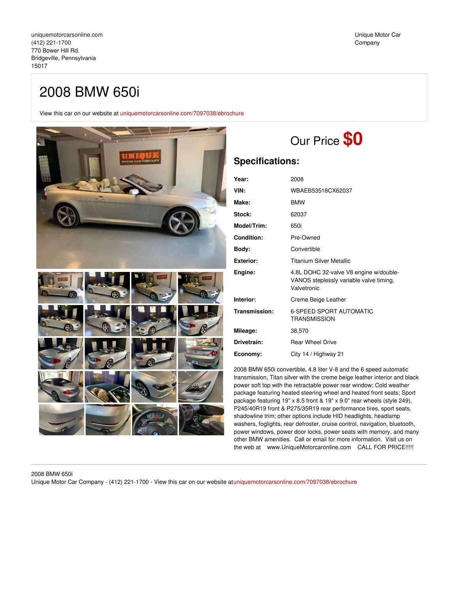## 2008 BMW 650i

View this car on our website at [uniquemotorcarsonline.com/7097038/ebrochure](https://uniquemotorcarsonline.com/vehicle/7097038/2008-bmw-650i-bridgeville-pennsylvania-15017/7097038/ebrochure)



# Our Price **\$0**

### **Specifications:**

| Year:              | 2008                                                                                             |
|--------------------|--------------------------------------------------------------------------------------------------|
| VIN:               | WBAEB53518CX62037                                                                                |
| Make:              | <b>BMW</b>                                                                                       |
| <b>Stock:</b>      | 62037                                                                                            |
| <b>Model/Trim:</b> | 650i                                                                                             |
| <b>Condition:</b>  | Pre-Owned                                                                                        |
| Body:              | Convertible                                                                                      |
| Exterior:          | <b>Titanium Silver Metallic</b>                                                                  |
| Engine:            | 4.8L DOHC 32-valve V8 engine w/double-<br>VANOS steplessly variable valve timing,<br>Valvetronic |
| Interior:          | Creme Beige Leather                                                                              |
| Transmission:      | <b>6-SPEED SPORT AUTOMATIC</b><br><b>TRANSMISSION</b>                                            |
| Mileage:           | 38,570                                                                                           |
| Drivetrain:        | <b>Rear Wheel Drive</b>                                                                          |
| Economy:           | City 14 / Highway 21                                                                             |

2008 BMW 650i convertible, 4.8 liter V-8 and the 6 speed automatic transmission, Titan silver with the creme beige leather interior and black power soft top with the retractable power rear window; Cold weather package featuring heated steering wheel and heated front seats; Sport package featuring 19" x 8.5 front & 19" x 9.0" rear wheels (style 249), P245/40R19 front & P275/35R19 rear performance tires, sport seats, shadowline trim; other options include HID headlights, headlamp washers, foglights, rear defroster, cruise control, navigation, bluetooth, power windows, power door locks, power seats with memory, and many other BMW amenities. Call or email for more information. Visit us on the web at www.UniqueMotorcaronline.com CALL FOR PRICE!!!!!

### 2008 BMW 650i

Unique Motor Car Company - (412) 221-1700 - View this car on our website at[uniquemotorcarsonline.com/7097038/ebrochure](https://uniquemotorcarsonline.com/vehicle/7097038/2008-bmw-650i-bridgeville-pennsylvania-15017/7097038/ebrochure)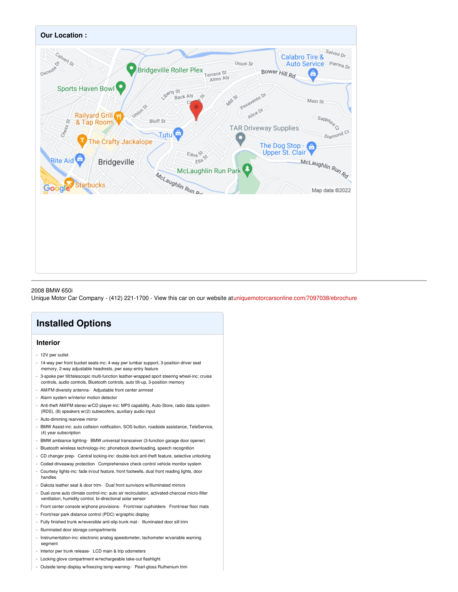

### 2008 BMW 650i

Unique Motor Car Company - (412) 221-1700 - View this car on our website at[uniquemotorcarsonline.com/7097038/ebrochure](https://uniquemotorcarsonline.com/vehicle/7097038/2008-bmw-650i-bridgeville-pennsylvania-15017/7097038/ebrochure)

### **Installed Options**

### **Interior**

- 12V pwr outlet
- 14-way pwr front bucket seats-inc: 4-way pwr lumbar support, 3-position driver seat memory, 2-way adjustable headrests, pwr easy-entry feature
- 3-spoke pwr tilt/telescopic multi-function leather-wrapped sport steering wheel-inc: cruise controls, audio controls, Bluetooth controls, auto tilt-up, 3-position memory
- AM/FM diversity antenna- Adjustable front center armrest
- Alarm system w/interior motion detector
- Anti-theft AM/FM stereo w/CD player-inc: MP3 capability, Auto-Store, radio data system (RDS), (8) speakers w/(2) subwoofers, auxiliary audio input
- Auto-dimming rearview mirror
- BMW Assist-inc: auto collision notification, SOS button, roadside assistance, TeleService, (4) year subscription
- BMW ambiance lighting- BMW universal transceiver (3-function garage door opener)
- Bluetooth wireless technology-inc: phonebook downloading, speech recognition
- CD changer prep- Central locking-inc: double-lock anti-theft feature, selective unlocking
- Coded driveaway protection- Comprehensive check control vehicle monitor system
- Courtesy lights-inc: fade in/out feature, front footwells, dual front reading lights, door handles
- Dakota leather seat & door trim- Dual front sunvisors w/illuminated mirrors
- Dual-zone auto climate control-inc: auto air recirculation, activated-charcoal micro-filter ventilation, humidity control, bi-directional solar sensor
- Front center console w/phone provisions Front/rear cupholders- Front/rear floor mats
- Front/rear park distance control (PDC) w/graphic display
- Fully finished trunk w/reversible anti-slip trunk mat- Illuminated door sill trim
- Illuminated door storage compartments
- Instrumentation-inc: electronic analog speedometer, tachometer w/variable warning segment
- Interior pwr trunk release- LCD main & trip odometers
- Locking glove compartment w/rechargeable take-out flashlight
- Outside temp display w/freezing temp warning- Pearl-gloss Ruthenium trim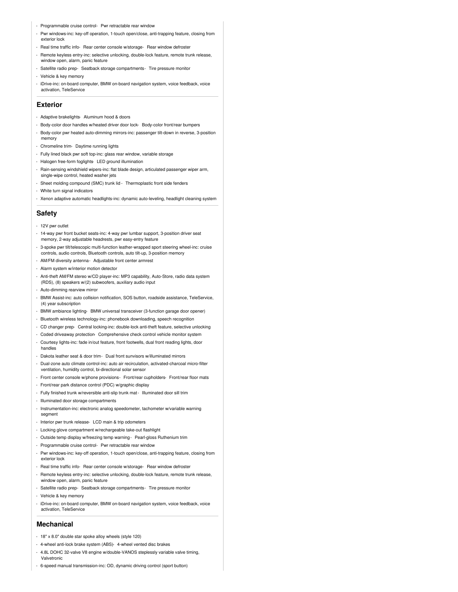- Programmable cruise control- Pwr retractable rear window
- Pwr windows-inc: key-off operation, 1-touch open/close, anti-trapping feature, closing from exterior lock
- Real time traffic info- Rear center console w/storage- Rear window defroster
- Remote keyless entry-inc: selective unlocking, double-lock feature, remote trunk release, window open, alarm, panic feature
- Satellite radio prep- Seatback storage compartments- Tire pressure monitor
- Vehicle & key memory
- iDrive-inc: on-board computer, BMW on-board navigation system, voice feedback, voice activation, TeleService

#### **Exterior**

- Adaptive brakelights- Aluminum hood & doors
- Body-color door handles w/heated driver door lock- Body-color front/rear bumpers
- Body-color pwr heated auto-dimming mirrors-inc: passenger tilt-down in reverse, 3-position memory
- Chromeline trim- Daytime running lights
- Fully lined black pwr soft top-inc: glass rear window, variable storage
- Halogen free-form foglights- LED ground illumination
- Rain-sensing windshield wipers-inc: flat blade design, articulated passenger wiper arm, single-wipe control, heated washer jets
- Sheet molding compound (SMC) trunk lid Thermoplastic front side fenders
- White turn signal indicators
- Xenon adaptive automatic headlights-inc: dynamic auto-leveling, headlight cleaning system

### **Safety**

- 12V pwr outlet
- 14-way pwr front bucket seats-inc: 4-way pwr lumbar support, 3-position driver seat memory, 2-way adjustable headrests, pwr easy-entry feature
- 3-spoke pwr tilt/telescopic multi-function leather-wrapped sport steering wheel-inc: cruise controls, audio controls, Bluetooth controls, auto tilt-up, 3-position memory
- AM/FM diversity antenna- Adjustable front center armrest
- Alarm system w/interior motion detector
- Anti-theft AM/FM stereo w/CD player-inc: MP3 capability, Auto-Store, radio data system (RDS), (8) speakers w/(2) subwoofers, auxiliary audio input
- Auto-dimming rearview mirror
- BMW Assist-inc: auto collision notification, SOS button, roadside assistance, TeleService, (4) year subscription
- BMW ambiance lighting- BMW universal transceiver (3-function garage door opener)
- Bluetooth wireless technology-inc: phonebook downloading, speech recognition
- CD changer prep- Central locking-inc: double-lock anti-theft feature, selective unlocking
- Coded driveaway protection- Comprehensive check control vehicle monitor system - Courtesy lights-inc: fade in/out feature, front footwells, dual front reading lights, door
- handles
- Dakota leather seat & door trim- Dual front sunvisors w/illuminated mirrors
- Dual-zone auto climate control-inc: auto air recirculation, activated-charcoal micro-filter ventilation, humidity control, bi-directional solar sensor
- Front center console w/phone provisions- Front/rear cupholders- Front/rear floor mats
- Front/rear park distance control (PDC) w/graphic display
- Fully finished trunk w/reversible anti-slip trunk mat- Illuminated door sill trim
- Illuminated door storage compartments
- Instrumentation-inc: electronic analog speedometer, tachometer w/variable warning segment
- Interior pwr trunk release- LCD main & trip odometers
- Locking glove compartment w/rechargeable take-out flashlight
- Outside temp display w/freezing temp warning- Pearl-gloss Ruthenium trim
- Programmable cruise control- Pwr retractable rear window
- Pwr windows-inc: key-off operation, 1-touch open/close, anti-trapping feature, closing from exterior lock
- Real time traffic info- Rear center console w/storage- Rear window defroster
- Remote keyless entry-inc: selective unlocking, double-lock feature, remote trunk release, window open, alarm, panic feature
- Satellite radio prep- Seatback storage compartments- Tire pressure monitor
- Vehicle & key memory
- iDrive-inc: on-board computer, BMW on-board navigation system, voice feedback, voice activation, TeleService

#### **Mechanical**

- 18" x 8.0" double star spoke alloy wheels (style 120)
- 4-wheel anti-lock brake system (ABS)- 4-wheel vented disc brakes
- 4.8L DOHC 32-valve V8 engine w/double-VANOS steplessly variable valve timing, Valvetronic
- 6-speed manual transmission-inc: OD, dynamic driving control (sport button)